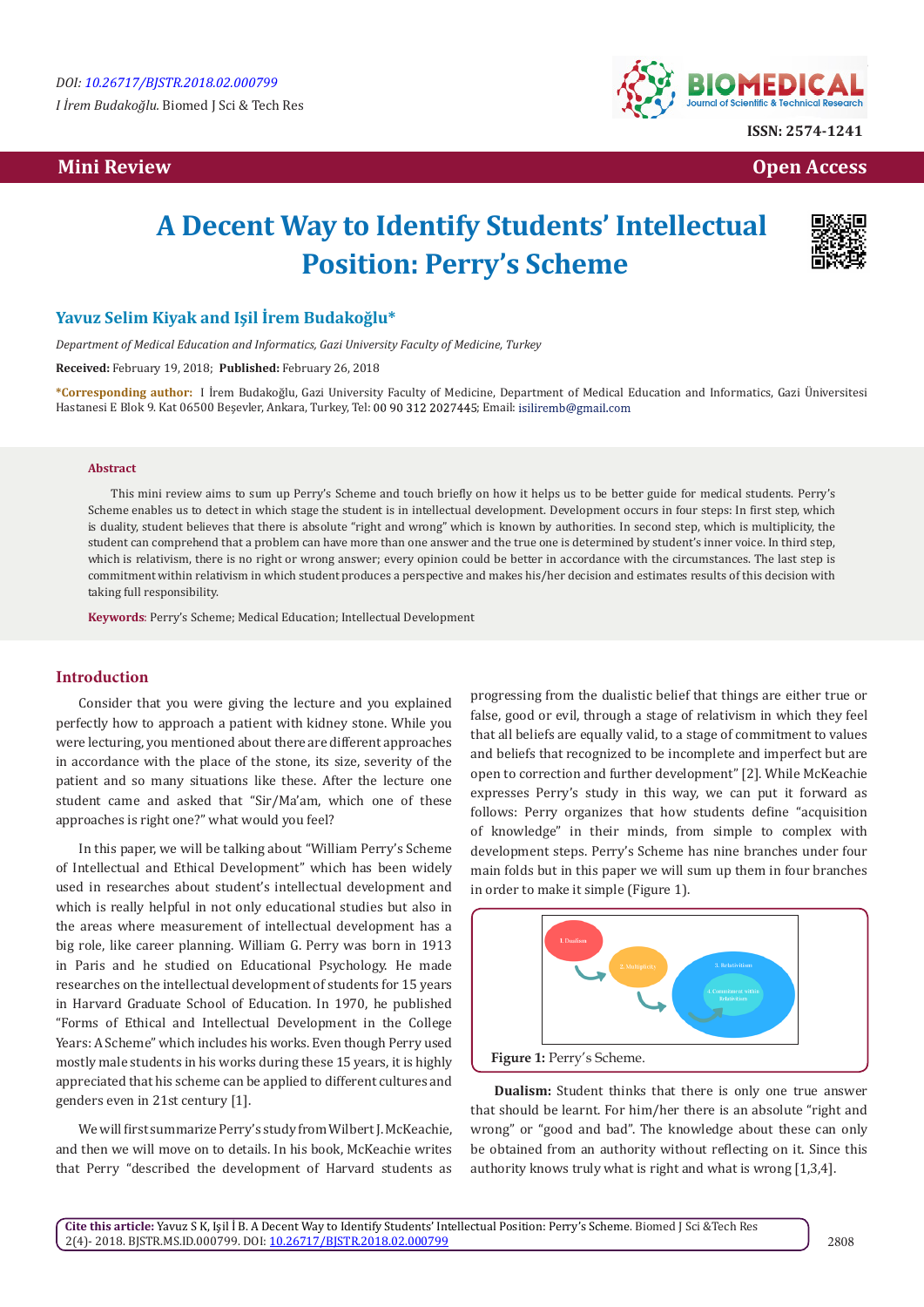*I İrem Budakoğlu.* Biomed J Sci & Tech Res

## **Mini Review Open Access**



**ISSN: 2574-1241**

# **A Decent Way to Identify Students' Intellectual Position: Perry's Scheme**



## **Yavuz Selim Kiyak and Işil İrem Budakoğlu\***

*Department of Medical Education and Informatics, Gazi University Faculty of Medicine, Turkey*

**Received:** February 19, 2018; **Published:** February 26, 2018

**\*Corresponding author:** I İrem Budakoğlu, Gazi University Faculty of Medicine, Department of Medical Education and Informatics, Gazi Üniversitesi Hastanesi E Blok 9. Kat 06500 Beşevler, Ankara, Turkey, Tel: 00 90 312 2027445; Email: isiliremb@gmail.com

### **Abstract**

This mini review aims to sum up Perry's Scheme and touch briefly on how it helps us to be better guide for medical students. Perry's Scheme enables us to detect in which stage the student is in intellectual development. Development occurs in four steps: In first step, which is duality, student believes that there is absolute "right and wrong" which is known by authorities. In second step, which is multiplicity, the student can comprehend that a problem can have more than one answer and the true one is determined by student's inner voice. In third step, which is relativism, there is no right or wrong answer; every opinion could be better in accordance with the circumstances. The last step is commitment within relativism in which student produces a perspective and makes his/her decision and estimates results of this decision with taking full responsibility.

**Keywords**: Perry's Scheme; Medical Education; Intellectual Development

## **Introduction**

Consider that you were giving the lecture and you explained perfectly how to approach a patient with kidney stone. While you were lecturing, you mentioned about there are different approaches in accordance with the place of the stone, its size, severity of the patient and so many situations like these. After the lecture one student came and asked that "Sir/Ma'am, which one of these approaches is right one?" what would you feel?

In this paper, we will be talking about "William Perry's Scheme of Intellectual and Ethical Development" which has been widely used in researches about student's intellectual development and which is really helpful in not only educational studies but also in the areas where measurement of intellectual development has a big role, like career planning. William G. Perry was born in 1913 in Paris and he studied on Educational Psychology. He made researches on the intellectual development of students for 15 years in Harvard Graduate School of Education. In 1970, he published "Forms of Ethical and Intellectual Development in the College Years: A Scheme" which includes his works. Even though Perry used mostly male students in his works during these 15 years, it is highly appreciated that his scheme can be applied to different cultures and genders even in 21st century [1].

We will first summarize Perry's study from Wilbert J. McKeachie, and then we will move on to details. In his book, McKeachie writes that Perry "described the development of Harvard students as

progressing from the dualistic belief that things are either true or false, good or evil, through a stage of relativism in which they feel that all beliefs are equally valid, to a stage of commitment to values and beliefs that recognized to be incomplete and imperfect but are open to correction and further development" [2]. While McKeachie expresses Perry's study in this way, we can put it forward as follows: Perry organizes that how students define "acquisition of knowledge" in their minds, from simple to complex with development steps. Perry's Scheme has nine branches under four main folds but in this paper we will sum up them in four branches in order to make it simple (Figure 1).



**Dualism:** Student thinks that there is only one true answer that should be learnt. For him/her there is an absolute "right and wrong" or "good and bad". The knowledge about these can only be obtained from an authority without reflecting on it. Since this authority knows truly what is right and what is wrong [1,3,4].